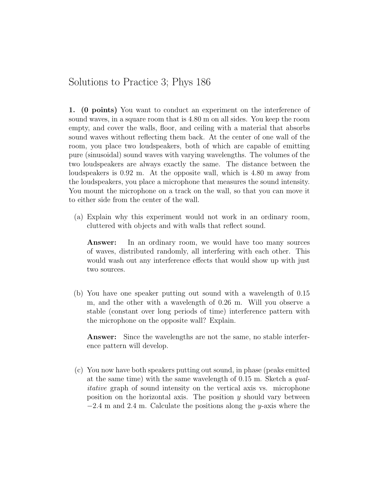## Solutions to Practice 3; Phys 186

1. (0 points) You want to conduct an experiment on the interference of sound waves, in a square room that is 4.80 m on all sides. You keep the room empty, and cover the walls, floor, and ceiling with a material that absorbs sound waves without reflecting them back. At the center of one wall of the room, you place two loudspeakers, both of which are capable of emitting pure (sinusoidal) sound waves with varying wavelengths. The volumes of the two loudspeakers are always exactly the same. The distance between the loudspeakers is 0.92 m. At the opposite wall, which is 4.80 m away from the loudspeakers, you place a microphone that measures the sound intensity. You mount the microphone on a track on the wall, so that you can move it to either side from the center of the wall.

(a) Explain why this experiment would not work in an ordinary room, cluttered with objects and with walls that reflect sound.

Answer: In an ordinary room, we would have too many sources of waves, distributed randomly, all interfering with each other. This would wash out any interference effects that would show up with just two sources.

(b) You have one speaker putting out sound with a wavelength of 0.15 m, and the other with a wavelength of 0.26 m. Will you observe a stable (constant over long periods of time) interference pattern with the microphone on the opposite wall? Explain.

Answer: Since the wavelengths are not the same, no stable interference pattern will develop.

(c) You now have both speakers putting out sound, in phase (peaks emitted at the same time) with the same wavelength of 0.15 m. Sketch a qualitative graph of sound intensity on the vertical axis vs. microphone position on the horizontal axis. The position  $y$  should vary between  $-2.4$  m and 2.4 m. Calculate the positions along the y-axis where the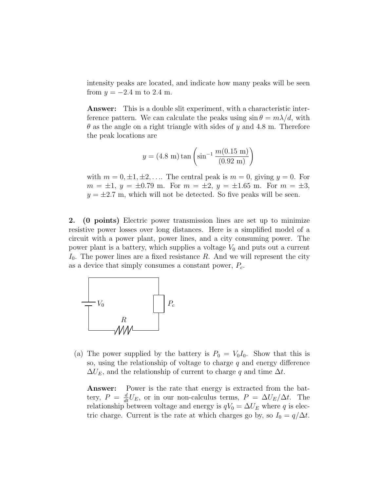intensity peaks are located, and indicate how many peaks will be seen from  $y = -2.4$  m to 2.4 m.

Answer: This is a double slit experiment, with a characteristic interference pattern. We can calculate the peaks using  $\sin \theta = m\lambda/d$ , with  $\theta$  as the angle on a right triangle with sides of y and 4.8 m. Therefore the peak locations are

$$
y = (4.8 \text{ m}) \tan \left( \sin^{-1} \frac{m(0.15 \text{ m})}{(0.92 \text{ m})} \right)
$$

with  $m = 0, \pm 1, \pm 2, \ldots$  The central peak is  $m = 0$ , giving  $y = 0$ . For  $m = \pm 1$ ,  $y = \pm 0.79$  m. For  $m = \pm 2$ ,  $y = \pm 1.65$  m. For  $m = \pm 3$ ,  $y = \pm 2.7$  m, which will not be detected. So five peaks will be seen.

2. (0 points) Electric power transmission lines are set up to minimize resistive power losses over long distances. Here is a simplified model of a circuit with a power plant, power lines, and a city consuming power. The power plant is a battery, which supplies a voltage  $V_0$  and puts out a current  $I_0$ . The power lines are a fixed resistance R. And we will represent the city as a device that simply consumes a constant power,  $P_c$ .



(a) The power supplied by the battery is  $P_0 = V_0I_0$ . Show that this is so, using the relationship of voltage to charge  $q$  and energy difference  $\Delta U_E$ , and the relationship of current to charge q and time  $\Delta t$ .

Answer: Power is the rate that energy is extracted from the battery,  $P = \frac{d}{dt}U_E$ , or in our non-calculus terms,  $P = \Delta U_E/\Delta t$ . The relationship between voltage and energy is  $qV_0 = \Delta U_E$  where q is electric charge. Current is the rate at which charges go by, so  $I_0 = q/\Delta t$ .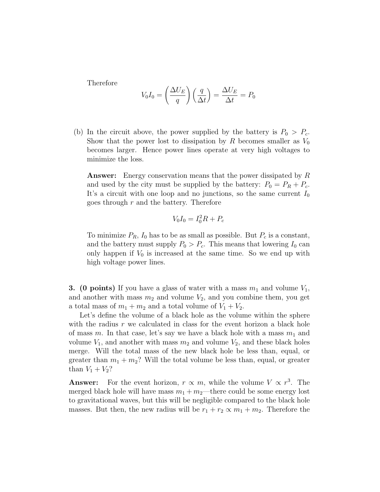Therefore

$$
V_0 I_0 = \left(\frac{\Delta U_E}{q}\right) \left(\frac{q}{\Delta t}\right) = \frac{\Delta U_E}{\Delta t} = P_0
$$

(b) In the circuit above, the power supplied by the battery is  $P_0 > P_c$ . Show that the power lost to dissipation by R becomes smaller as  $V_0$ becomes larger. Hence power lines operate at very high voltages to minimize the loss.

Answer: Energy conservation means that the power dissipated by R and used by the city must be supplied by the battery:  $P_0 = P_R + P_c$ . It's a circuit with one loop and no junctions, so the same current  $I_0$ goes through  $r$  and the battery. Therefore

$$
V_0 I_0 = I_0^2 R + P_c
$$

To minimize  $P_R$ ,  $I_0$  has to be as small as possible. But  $P_c$  is a constant, and the battery must supply  $P_0 > P_c$ . This means that lowering  $I_0$  can only happen if  $V_0$  is increased at the same time. So we end up with high voltage power lines.

**3.** (0 points) If you have a glass of water with a mass  $m_1$  and volume  $V_1$ , and another with mass  $m_2$  and volume  $V_2$ , and you combine them, you get a total mass of  $m_1 + m_2$  and a total volume of  $V_1 + V_2$ .

Let's define the volume of a black hole as the volume within the sphere with the radius  $r$  we calculated in class for the event horizon a black hole of mass m. In that case, let's say we have a black hole with a mass  $m_1$  and volume  $V_1$ , and another with mass  $m_2$  and volume  $V_2$ , and these black holes merge. Will the total mass of the new black hole be less than, equal, or greater than  $m_1 + m_2$ ? Will the total volume be less than, equal, or greater than  $V_1 + V_2$ ?

**Answer:** For the event horizon,  $r \propto m$ , while the volume  $V \propto r^3$ . The merged black hole will have mass  $m_1 + m_2$ —there could be some energy lost to gravitational waves, but this will be negligible compared to the black hole masses. But then, the new radius will be  $r_1 + r_2 \propto m_1 + m_2$ . Therefore the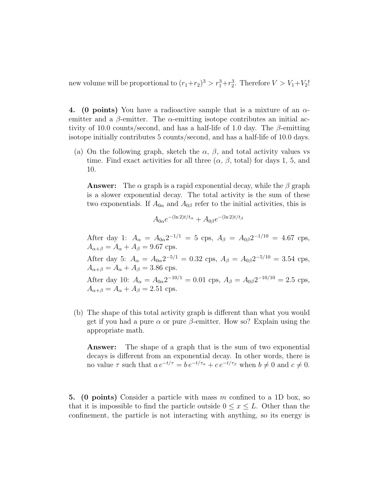new volume will be proportional to  $(r_1+r_2)^3 > r_1^3+r_2^3$ . Therefore  $V > V_1+V_2!$ 

4. (0 points) You have a radioactive sample that is a mixture of an  $\alpha$ emitter and a  $\beta$ -emitter. The  $\alpha$ -emitting isotope contributes an initial activity of 10.0 counts/second, and has a half-life of 1.0 day. The  $\beta$ -emitting isotope initially contributes 5 counts/second, and has a half-life of 10.0 days.

(a) On the following graph, sketch the  $\alpha$ ,  $\beta$ , and total activity values vs time. Find exact activities for all three  $(\alpha, \beta, \text{total})$  for days 1, 5, and 10.

**Answer:** The  $\alpha$  graph is a rapid exponential decay, while the  $\beta$  graph is a slower exponential decay. The total activity is the sum of these two exponentials. If  $A_{0\alpha}$  and  $A_{0\beta}$  refer to the initial activities, this is

$$
A_{0\alpha}e^{-(\ln 2)t/t_{\alpha}} + A_{0\beta}e^{-(\ln 2)t/t_{\beta}}
$$

After day 1:  $A_{\alpha} = A_{0\alpha} 2^{-1/1} = 5$  cps,  $A_{\beta} = A_{0\beta} 2^{-1/10} = 4.67$  cps,  $A_{\alpha+\beta} = A_{\alpha} + A_{\beta} = 9.67$  cps. After day 5:  $A_{\alpha} = A_{0\alpha} 2^{-5/1} = 0.32$  cps,  $A_{\beta} = A_{0\beta} 2^{-5/10} = 3.54$  cps,  $A_{\alpha+\beta} = A_{\alpha} + A_{\beta} = 3.86$  cps. After day 10:  $A_{\alpha} = A_{0\alpha} 2^{-10/1} = 0.01$  cps,  $A_{\beta} = A_{0\beta} 2^{-10/10} = 2.5$  cps,  $A_{\alpha+\beta} = A_{\alpha} + A_{\beta} = 2.51$  cps.

(b) The shape of this total activity graph is different than what you would get if you had a pure  $\alpha$  or pure  $\beta$ -emitter. How so? Explain using the appropriate math.

Answer: The shape of a graph that is the sum of two exponential decays is different from an exponential decay. In other words, there is no value  $\tau$  such that  $a e^{-t/\tau} = b e^{-t/\tau_\alpha} + c e^{-t/\tau_\beta}$  when  $b \neq 0$  and  $c \neq 0$ .

5. (0 points) Consider a particle with mass m confined to a 1D box, so that it is impossible to find the particle outside  $0 \leq x \leq L$ . Other than the confinement, the particle is not interacting with anything, so its energy is